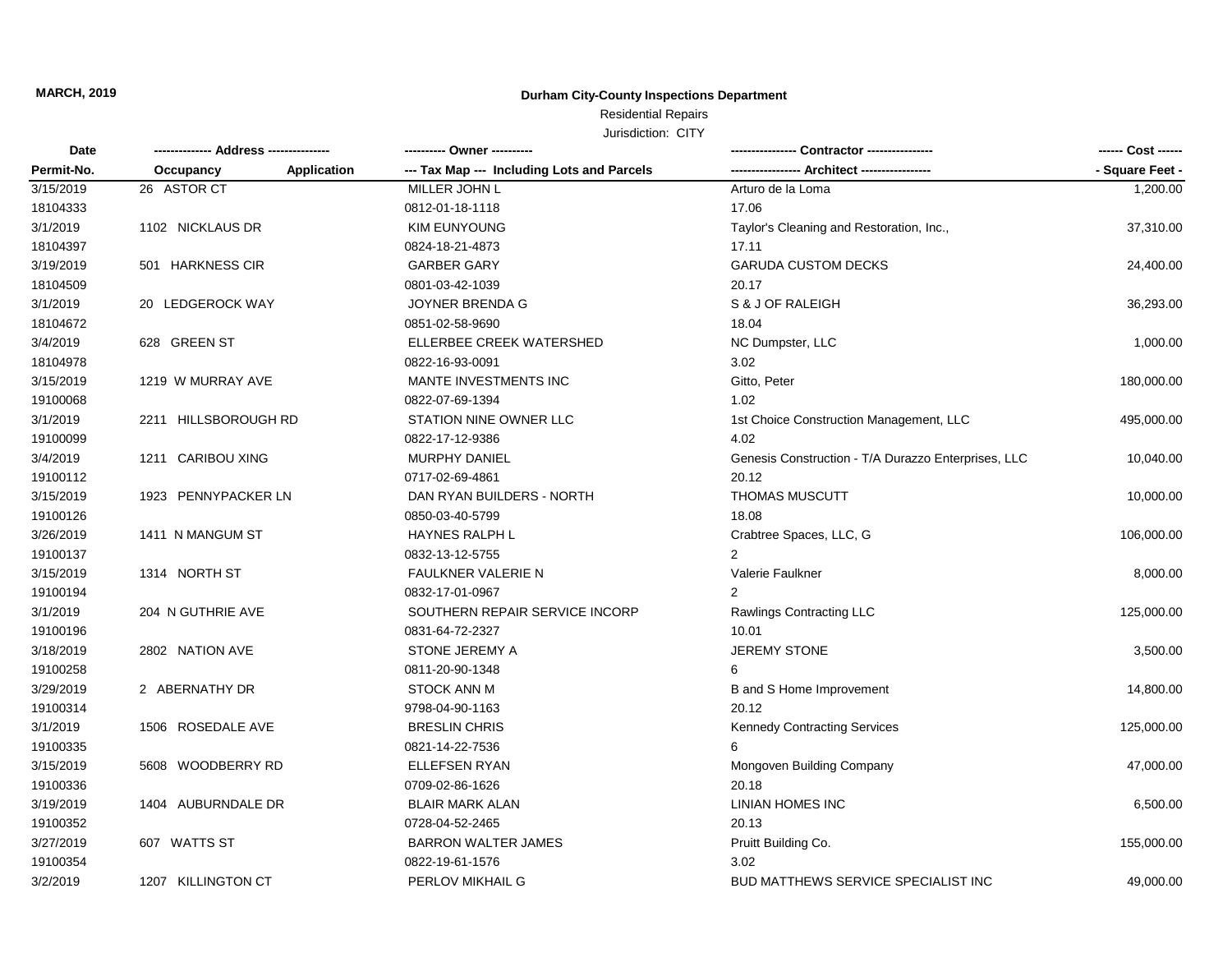## **Durham City-County Inspections Department**

# Residential Repairs

| Date       | ------------- Address -------------- |                    |                                            |                                                     | ------ Cost ------ |
|------------|--------------------------------------|--------------------|--------------------------------------------|-----------------------------------------------------|--------------------|
| Permit-No. | Occupancy                            | <b>Application</b> | --- Tax Map --- Including Lots and Parcels |                                                     | - Square Feet -    |
| 3/15/2019  | 26 ASTOR CT                          |                    | MILLER JOHN L                              | Arturo de la Loma                                   | 1,200.00           |
| 18104333   |                                      |                    | 0812-01-18-1118                            | 17.06                                               |                    |
| 3/1/2019   | 1102 NICKLAUS DR                     |                    | <b>KIM EUNYOUNG</b>                        | Taylor's Cleaning and Restoration, Inc.,            | 37,310.00          |
| 18104397   |                                      |                    | 0824-18-21-4873                            | 17.11                                               |                    |
| 3/19/2019  | 501 HARKNESS CIR                     |                    | <b>GARBER GARY</b>                         | <b>GARUDA CUSTOM DECKS</b>                          | 24,400.00          |
| 18104509   |                                      |                    | 0801-03-42-1039                            | 20.17                                               |                    |
| 3/1/2019   | 20 LEDGEROCK WAY                     |                    | JOYNER BRENDA G                            | S & J OF RALEIGH                                    | 36,293.00          |
| 18104672   |                                      |                    | 0851-02-58-9690                            | 18.04                                               |                    |
| 3/4/2019   | 628 GREEN ST                         |                    | ELLERBEE CREEK WATERSHED                   | NC Dumpster, LLC                                    | 1,000.00           |
| 18104978   |                                      |                    | 0822-16-93-0091                            | 3.02                                                |                    |
| 3/15/2019  | 1219 W MURRAY AVE                    |                    | MANTE INVESTMENTS INC                      | Gitto, Peter                                        | 180,000.00         |
| 19100068   |                                      |                    | 0822-07-69-1394                            | 1.02                                                |                    |
| 3/1/2019   | 2211 HILLSBOROUGH RD                 |                    | STATION NINE OWNER LLC                     | 1st Choice Construction Management, LLC             | 495,000.00         |
| 19100099   |                                      |                    | 0822-17-12-9386                            | 4.02                                                |                    |
| 3/4/2019   | 1211 CARIBOU XING                    |                    | <b>MURPHY DANIEL</b>                       | Genesis Construction - T/A Durazzo Enterprises, LLC | 10,040.00          |
| 19100112   |                                      |                    | 0717-02-69-4861                            | 20.12                                               |                    |
| 3/15/2019  | 1923 PENNYPACKER LN                  |                    | DAN RYAN BUILDERS - NORTH                  | THOMAS MUSCUTT                                      | 10,000.00          |
| 19100126   |                                      |                    | 0850-03-40-5799                            | 18.08                                               |                    |
| 3/26/2019  | 1411 N MANGUM ST                     |                    | <b>HAYNES RALPH L</b>                      | Crabtree Spaces, LLC, G                             | 106,000.00         |
| 19100137   |                                      |                    | 0832-13-12-5755                            | 2                                                   |                    |
| 3/15/2019  | 1314 NORTH ST                        |                    | FAULKNER VALERIE N                         | Valerie Faulkner                                    | 8,000.00           |
| 19100194   |                                      |                    | 0832-17-01-0967                            |                                                     |                    |
| 3/1/2019   | 204 N GUTHRIE AVE                    |                    | SOUTHERN REPAIR SERVICE INCORP             | Rawlings Contracting LLC                            | 125,000.00         |
| 19100196   |                                      |                    | 0831-64-72-2327                            | 10.01                                               |                    |
| 3/18/2019  | 2802 NATION AVE                      |                    | STONE JEREMY A                             | <b>JEREMY STONE</b>                                 | 3,500.00           |
| 19100258   |                                      |                    | 0811-20-90-1348                            | 6                                                   |                    |
| 3/29/2019  | 2 ABERNATHY DR                       |                    | <b>STOCK ANN M</b>                         | B and S Home Improvement                            | 14,800.00          |
| 19100314   |                                      |                    | 9798-04-90-1163                            | 20.12                                               |                    |
| 3/1/2019   | 1506 ROSEDALE AVE                    |                    | <b>BRESLIN CHRIS</b>                       | <b>Kennedy Contracting Services</b>                 | 125,000.00         |
| 19100335   |                                      |                    | 0821-14-22-7536                            | 6                                                   |                    |
| 3/15/2019  | 5608 WOODBERRY RD                    |                    | ELLEFSEN RYAN                              | Mongoven Building Company                           | 47,000.00          |
| 19100336   |                                      |                    | 0709-02-86-1626                            | 20.18                                               |                    |
| 3/19/2019  | 1404 AUBURNDALE DR                   |                    | <b>BLAIR MARK ALAN</b>                     | LINIAN HOMES INC                                    | 6,500.00           |
| 19100352   |                                      |                    | 0728-04-52-2465                            | 20.13                                               |                    |
| 3/27/2019  | 607 WATTS ST                         |                    | <b>BARRON WALTER JAMES</b>                 | Pruitt Building Co.                                 | 155,000.00         |
| 19100354   |                                      |                    | 0822-19-61-1576                            | 3.02                                                |                    |
| 3/2/2019   | 1207 KILLINGTON CT                   |                    | PERLOV MIKHAIL G                           | <b>BUD MATTHEWS SERVICE SPECIALIST INC</b>          | 49,000.00          |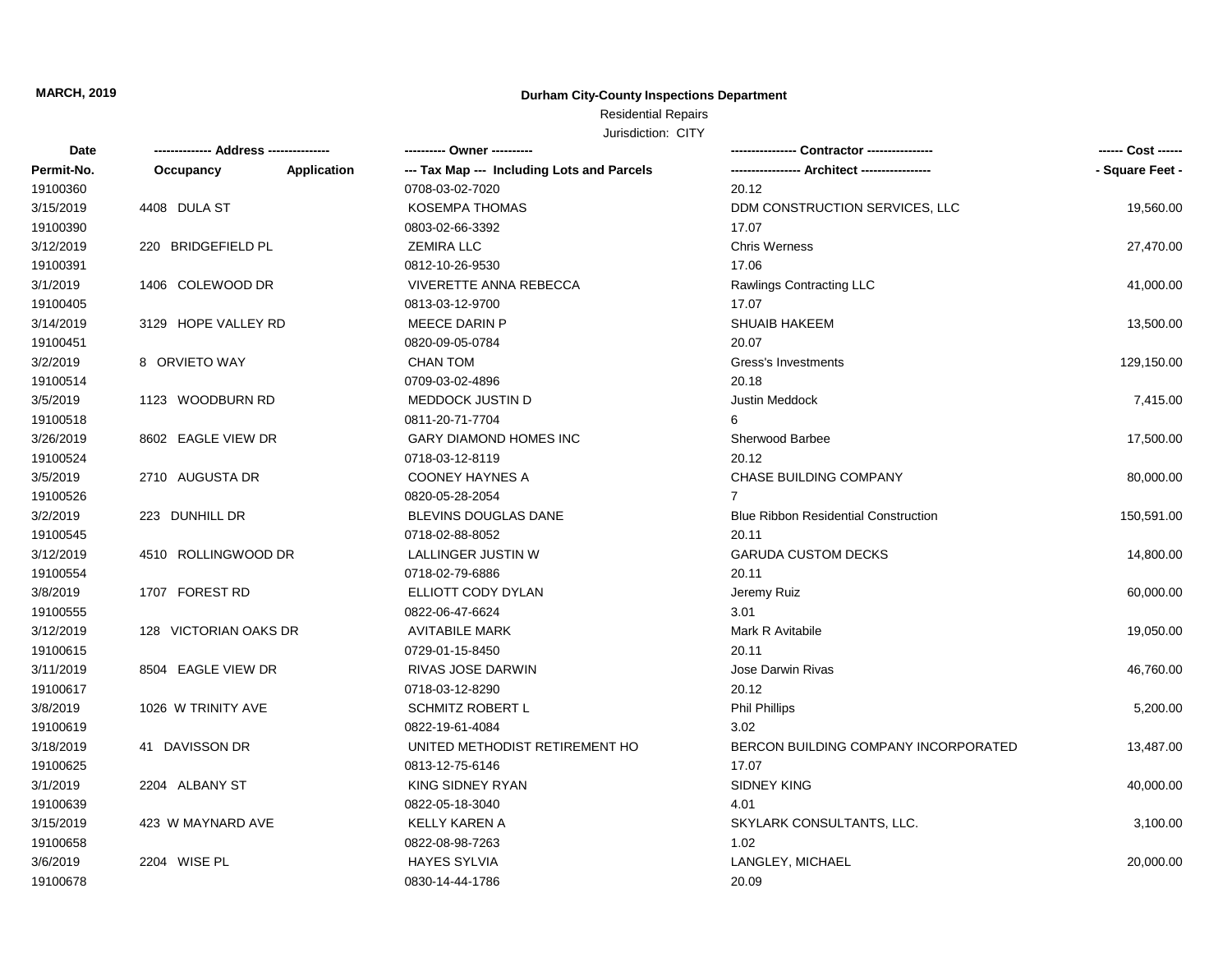## **Durham City-County Inspections Department**

## Residential Repairs

| Date       |                       | ------------       | ---------- Owner ----------                |                                             | ------ Cost ------ |
|------------|-----------------------|--------------------|--------------------------------------------|---------------------------------------------|--------------------|
| Permit-No. | Occupancy             | <b>Application</b> | --- Tax Map --- Including Lots and Parcels |                                             | - Square Feet -    |
| 19100360   |                       |                    | 0708-03-02-7020                            | 20.12                                       |                    |
| 3/15/2019  | 4408 DULA ST          |                    | <b>KOSEMPA THOMAS</b>                      | DDM CONSTRUCTION SERVICES, LLC              | 19,560.00          |
| 19100390   |                       |                    | 0803-02-66-3392                            | 17.07                                       |                    |
| 3/12/2019  | 220 BRIDGEFIELD PL    |                    | <b>ZEMIRA LLC</b>                          | <b>Chris Werness</b>                        | 27,470.00          |
| 19100391   |                       |                    | 0812-10-26-9530                            | 17.06                                       |                    |
| 3/1/2019   | 1406 COLEWOOD DR      |                    | VIVERETTE ANNA REBECCA                     | Rawlings Contracting LLC                    | 41,000.00          |
| 19100405   |                       |                    | 0813-03-12-9700                            | 17.07                                       |                    |
| 3/14/2019  | 3129 HOPE VALLEY RD   |                    | MEECE DARIN P                              | <b>SHUAIB HAKEEM</b>                        | 13,500.00          |
| 19100451   |                       |                    | 0820-09-05-0784                            | 20.07                                       |                    |
| 3/2/2019   | 8 ORVIETO WAY         |                    | <b>CHAN TOM</b>                            | Gress's Investments                         | 129,150.00         |
| 19100514   |                       |                    | 0709-03-02-4896                            | 20.18                                       |                    |
| 3/5/2019   | 1123 WOODBURN RD      |                    | <b>MEDDOCK JUSTIN D</b>                    | <b>Justin Meddock</b>                       | 7,415.00           |
| 19100518   |                       |                    | 0811-20-71-7704                            | 6                                           |                    |
| 3/26/2019  | 8602 EAGLE VIEW DR    |                    | <b>GARY DIAMOND HOMES INC</b>              | Sherwood Barbee                             | 17,500.00          |
| 19100524   |                       |                    | 0718-03-12-8119                            | 20.12                                       |                    |
| 3/5/2019   | 2710 AUGUSTA DR       |                    | <b>COONEY HAYNES A</b>                     | <b>CHASE BUILDING COMPANY</b>               | 80,000.00          |
| 19100526   |                       |                    | 0820-05-28-2054                            |                                             |                    |
| 3/2/2019   | 223 DUNHILL DR        |                    | <b>BLEVINS DOUGLAS DANE</b>                | <b>Blue Ribbon Residential Construction</b> | 150,591.00         |
| 19100545   |                       |                    | 0718-02-88-8052                            | 20.11                                       |                    |
| 3/12/2019  | 4510 ROLLINGWOOD DR   |                    | <b>LALLINGER JUSTIN W</b>                  | <b>GARUDA CUSTOM DECKS</b>                  | 14,800.00          |
| 19100554   |                       |                    | 0718-02-79-6886                            | 20.11                                       |                    |
| 3/8/2019   | 1707 FOREST RD        |                    | ELLIOTT CODY DYLAN                         | Jeremy Ruiz                                 | 60,000.00          |
| 19100555   |                       |                    | 0822-06-47-6624                            | 3.01                                        |                    |
| 3/12/2019  | 128 VICTORIAN OAKS DR |                    | <b>AVITABILE MARK</b>                      | Mark R Avitabile                            | 19,050.00          |
| 19100615   |                       |                    | 0729-01-15-8450                            | 20.11                                       |                    |
| 3/11/2019  | 8504 EAGLE VIEW DR    |                    | RIVAS JOSE DARWIN                          | <b>Jose Darwin Rivas</b>                    | 46,760.00          |
| 19100617   |                       |                    | 0718-03-12-8290                            | 20.12                                       |                    |
| 3/8/2019   | 1026 W TRINITY AVE    |                    | <b>SCHMITZ ROBERT L</b>                    | <b>Phil Phillips</b>                        | 5,200.00           |
| 19100619   |                       |                    | 0822-19-61-4084                            | 3.02                                        |                    |
| 3/18/2019  | 41 DAVISSON DR        |                    | UNITED METHODIST RETIREMENT HO             | BERCON BUILDING COMPANY INCORPORATED        | 13,487.00          |
| 19100625   |                       |                    | 0813-12-75-6146                            | 17.07                                       |                    |
| 3/1/2019   | 2204 ALBANY ST        |                    | KING SIDNEY RYAN                           | <b>SIDNEY KING</b>                          | 40,000.00          |
| 19100639   |                       |                    | 0822-05-18-3040                            | 4.01                                        |                    |
| 3/15/2019  | 423 W MAYNARD AVE     |                    | <b>KELLY KAREN A</b>                       | SKYLARK CONSULTANTS, LLC.                   | 3,100.00           |
| 19100658   |                       |                    | 0822-08-98-7263                            | 1.02                                        |                    |
| 3/6/2019   | 2204 WISE PL          |                    | <b>HAYES SYLVIA</b>                        | LANGLEY, MICHAEL                            | 20,000.00          |
| 19100678   |                       |                    | 0830-14-44-1786                            | 20.09                                       |                    |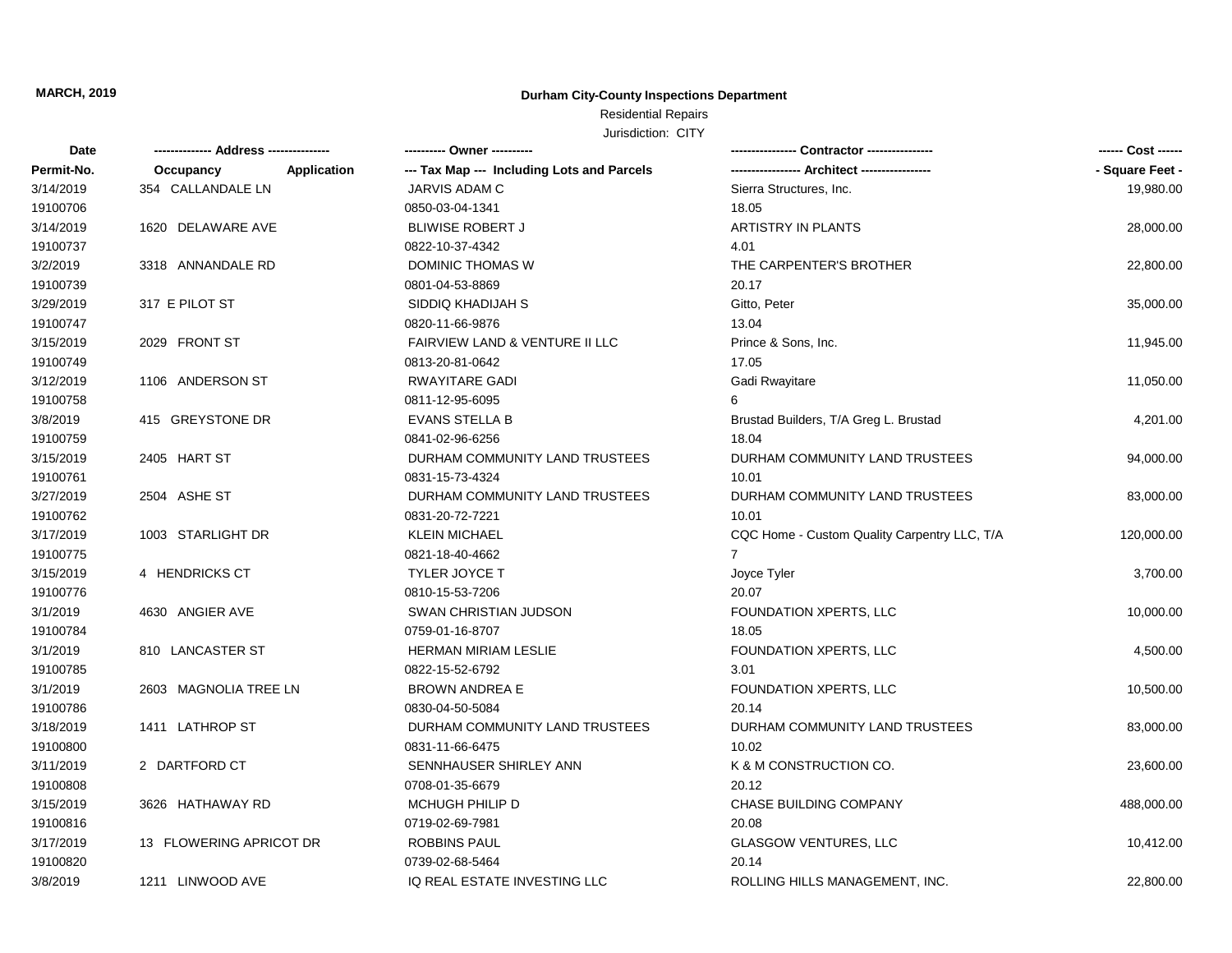## **Durham City-County Inspections Department**

## Residential Repairs

| Date       |                                 | ---------- Owner ----------                |                                              | ------ Cost ------ |
|------------|---------------------------------|--------------------------------------------|----------------------------------------------|--------------------|
| Permit-No. | <b>Application</b><br>Occupancy | --- Tax Map --- Including Lots and Parcels |                                              | - Square Feet -    |
| 3/14/2019  | 354 CALLANDALE LN               | JARVIS ADAM C                              | Sierra Structures, Inc.                      | 19,980.00          |
| 19100706   |                                 | 0850-03-04-1341                            | 18.05                                        |                    |
| 3/14/2019  | 1620 DELAWARE AVE               | <b>BLIWISE ROBERT J</b>                    | <b>ARTISTRY IN PLANTS</b>                    | 28,000.00          |
| 19100737   |                                 | 0822-10-37-4342                            | 4.01                                         |                    |
| 3/2/2019   | 3318 ANNANDALE RD               | DOMINIC THOMAS W                           | THE CARPENTER'S BROTHER                      | 22,800.00          |
| 19100739   |                                 | 0801-04-53-8869                            | 20.17                                        |                    |
| 3/29/2019  | 317 E PILOT ST                  | SIDDIQ KHADIJAH S                          | Gitto, Peter                                 | 35,000.00          |
| 19100747   |                                 | 0820-11-66-9876                            | 13.04                                        |                    |
| 3/15/2019  | 2029 FRONT ST                   | FAIRVIEW LAND & VENTURE II LLC             | Prince & Sons, Inc.                          | 11,945.00          |
| 19100749   |                                 | 0813-20-81-0642                            | 17.05                                        |                    |
| 3/12/2019  | 1106 ANDERSON ST                | <b>RWAYITARE GADI</b>                      | Gadi Rwayitare                               | 11,050.00          |
| 19100758   |                                 | 0811-12-95-6095                            | 6                                            |                    |
| 3/8/2019   | 415 GREYSTONE DR                | <b>EVANS STELLA B</b>                      | Brustad Builders, T/A Greg L. Brustad        | 4,201.00           |
| 19100759   |                                 | 0841-02-96-6256                            | 18.04                                        |                    |
| 3/15/2019  | 2405 HART ST                    | DURHAM COMMUNITY LAND TRUSTEES             | DURHAM COMMUNITY LAND TRUSTEES               | 94,000.00          |
| 19100761   |                                 | 0831-15-73-4324                            | 10.01                                        |                    |
| 3/27/2019  | 2504 ASHE ST                    | DURHAM COMMUNITY LAND TRUSTEES             | DURHAM COMMUNITY LAND TRUSTEES               | 83,000.00          |
| 19100762   |                                 | 0831-20-72-7221                            | 10.01                                        |                    |
| 3/17/2019  | 1003 STARLIGHT DR               | <b>KLEIN MICHAEL</b>                       | CQC Home - Custom Quality Carpentry LLC, T/A | 120,000.00         |
| 19100775   |                                 | 0821-18-40-4662                            | 7                                            |                    |
| 3/15/2019  | 4 HENDRICKS CT                  | <b>TYLER JOYCE T</b>                       | Joyce Tyler                                  | 3,700.00           |
| 19100776   |                                 | 0810-15-53-7206                            | 20.07                                        |                    |
| 3/1/2019   | 4630 ANGIER AVE                 | <b>SWAN CHRISTIAN JUDSON</b>               | FOUNDATION XPERTS, LLC                       | 10,000.00          |
| 19100784   |                                 | 0759-01-16-8707                            | 18.05                                        |                    |
| 3/1/2019   | 810 LANCASTER ST                | <b>HERMAN MIRIAM LESLIE</b>                | <b>FOUNDATION XPERTS, LLC</b>                | 4,500.00           |
| 19100785   |                                 | 0822-15-52-6792                            | 3.01                                         |                    |
| 3/1/2019   | 2603 MAGNOLIA TREE LN           | <b>BROWN ANDREA E</b>                      | FOUNDATION XPERTS, LLC                       | 10,500.00          |
| 19100786   |                                 | 0830-04-50-5084                            | 20.14                                        |                    |
| 3/18/2019  | 1411 LATHROP ST                 | DURHAM COMMUNITY LAND TRUSTEES             | DURHAM COMMUNITY LAND TRUSTEES               | 83,000.00          |
| 19100800   |                                 | 0831-11-66-6475                            | 10.02                                        |                    |
| 3/11/2019  | 2 DARTFORD CT                   | SENNHAUSER SHIRLEY ANN                     | K & M CONSTRUCTION CO.                       | 23,600.00          |
| 19100808   |                                 | 0708-01-35-6679                            | 20.12                                        |                    |
| 3/15/2019  | 3626 HATHAWAY RD                | MCHUGH PHILIP D                            | CHASE BUILDING COMPANY                       | 488,000.00         |
| 19100816   |                                 | 0719-02-69-7981                            | 20.08                                        |                    |
| 3/17/2019  | 13 FLOWERING APRICOT DR         | <b>ROBBINS PAUL</b>                        | <b>GLASGOW VENTURES, LLC</b>                 | 10,412.00          |
| 19100820   |                                 | 0739-02-68-5464                            | 20.14                                        |                    |
| 3/8/2019   | 1211 LINWOOD AVE                | IQ REAL ESTATE INVESTING LLC               | ROLLING HILLS MANAGEMENT, INC.               | 22,800.00          |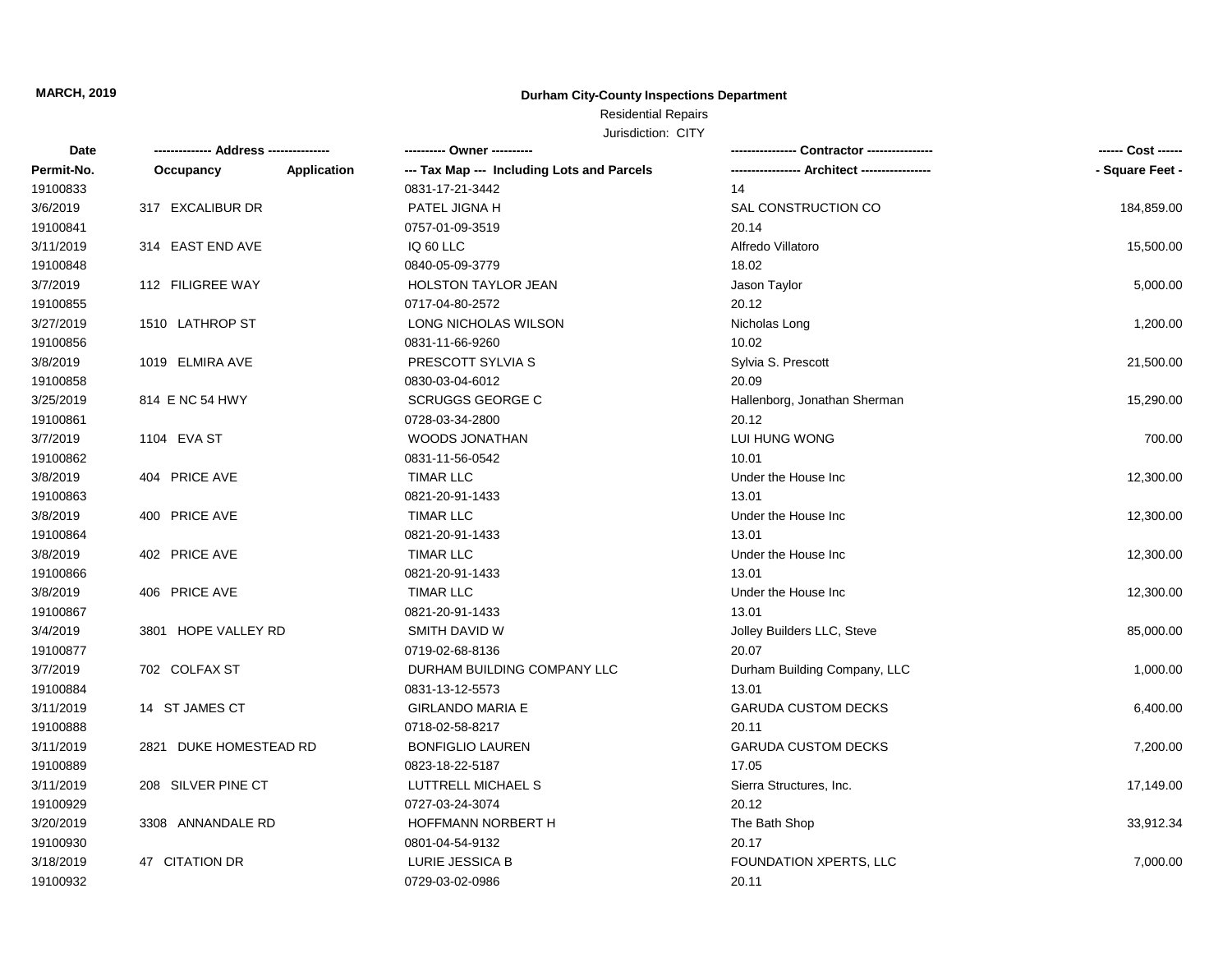## **Durham City-County Inspections Department**

## Residential Repairs

| Date       |                                 | ---------- Owner ----------                |                              | ------ Cost ------ |
|------------|---------------------------------|--------------------------------------------|------------------------------|--------------------|
| Permit-No. | <b>Application</b><br>Occupancy | --- Tax Map --- Including Lots and Parcels |                              | - Square Feet -    |
| 19100833   |                                 | 0831-17-21-3442                            | 14                           |                    |
| 3/6/2019   | 317 EXCALIBUR DR                | PATEL JIGNA H                              | SAL CONSTRUCTION CO          | 184,859.00         |
| 19100841   |                                 | 0757-01-09-3519                            | 20.14                        |                    |
| 3/11/2019  | 314 EAST END AVE                | IQ 60 LLC                                  | Alfredo Villatoro            | 15,500.00          |
| 19100848   |                                 | 0840-05-09-3779                            | 18.02                        |                    |
| 3/7/2019   | 112 FILIGREE WAY                | <b>HOLSTON TAYLOR JEAN</b>                 | Jason Taylor                 | 5,000.00           |
| 19100855   |                                 | 0717-04-80-2572                            | 20.12                        |                    |
| 3/27/2019  | 1510 LATHROP ST                 | LONG NICHOLAS WILSON                       | Nicholas Long                | 1,200.00           |
| 19100856   |                                 | 0831-11-66-9260                            | 10.02                        |                    |
| 3/8/2019   | 1019 ELMIRA AVE                 | PRESCOTT SYLVIA S                          | Sylvia S. Prescott           | 21,500.00          |
| 19100858   |                                 | 0830-03-04-6012                            | 20.09                        |                    |
| 3/25/2019  | 814 E NC 54 HWY                 | <b>SCRUGGS GEORGE C</b>                    | Hallenborg, Jonathan Sherman | 15,290.00          |
| 19100861   |                                 | 0728-03-34-2800                            | 20.12                        |                    |
| 3/7/2019   | 1104 EVA ST                     | <b>WOODS JONATHAN</b>                      | LUI HUNG WONG                | 700.00             |
| 19100862   |                                 | 0831-11-56-0542                            | 10.01                        |                    |
| 3/8/2019   | 404 PRICE AVE                   | <b>TIMAR LLC</b>                           | Under the House Inc.         | 12,300.00          |
| 19100863   |                                 | 0821-20-91-1433                            | 13.01                        |                    |
| 3/8/2019   | 400 PRICE AVE                   | <b>TIMAR LLC</b>                           | Under the House Inc.         | 12,300.00          |
| 19100864   |                                 | 0821-20-91-1433                            | 13.01                        |                    |
| 3/8/2019   | 402 PRICE AVE                   | <b>TIMAR LLC</b>                           | Under the House Inc.         | 12,300.00          |
| 19100866   |                                 | 0821-20-91-1433                            | 13.01                        |                    |
| 3/8/2019   | 406 PRICE AVE                   | <b>TIMAR LLC</b>                           | Under the House Inc          | 12,300.00          |
| 19100867   |                                 | 0821-20-91-1433                            | 13.01                        |                    |
| 3/4/2019   | 3801 HOPE VALLEY RD             | SMITH DAVID W                              | Jolley Builders LLC, Steve   | 85,000.00          |
| 19100877   |                                 | 0719-02-68-8136                            | 20.07                        |                    |
| 3/7/2019   | 702 COLFAX ST                   | DURHAM BUILDING COMPANY LLC                | Durham Building Company, LLC | 1,000.00           |
| 19100884   |                                 | 0831-13-12-5573                            | 13.01                        |                    |
| 3/11/2019  | 14 ST JAMES CT                  | <b>GIRLANDO MARIA E</b>                    | <b>GARUDA CUSTOM DECKS</b>   | 6,400.00           |
| 19100888   |                                 | 0718-02-58-8217                            | 20.11                        |                    |
| 3/11/2019  | 2821 DUKE HOMESTEAD RD          | <b>BONFIGLIO LAUREN</b>                    | <b>GARUDA CUSTOM DECKS</b>   | 7,200.00           |
| 19100889   |                                 | 0823-18-22-5187                            | 17.05                        |                    |
| 3/11/2019  | 208 SILVER PINE CT              | LUTTRELL MICHAEL S                         | Sierra Structures, Inc.      | 17,149.00          |
| 19100929   |                                 | 0727-03-24-3074                            | 20.12                        |                    |
| 3/20/2019  | 3308 ANNANDALE RD               | HOFFMANN NORBERT H                         | The Bath Shop                | 33,912.34          |
| 19100930   |                                 | 0801-04-54-9132                            | 20.17                        |                    |
| 3/18/2019  | 47 CITATION DR                  | LURIE JESSICA B                            | FOUNDATION XPERTS, LLC       | 7,000.00           |
| 19100932   |                                 | 0729-03-02-0986                            | 20.11                        |                    |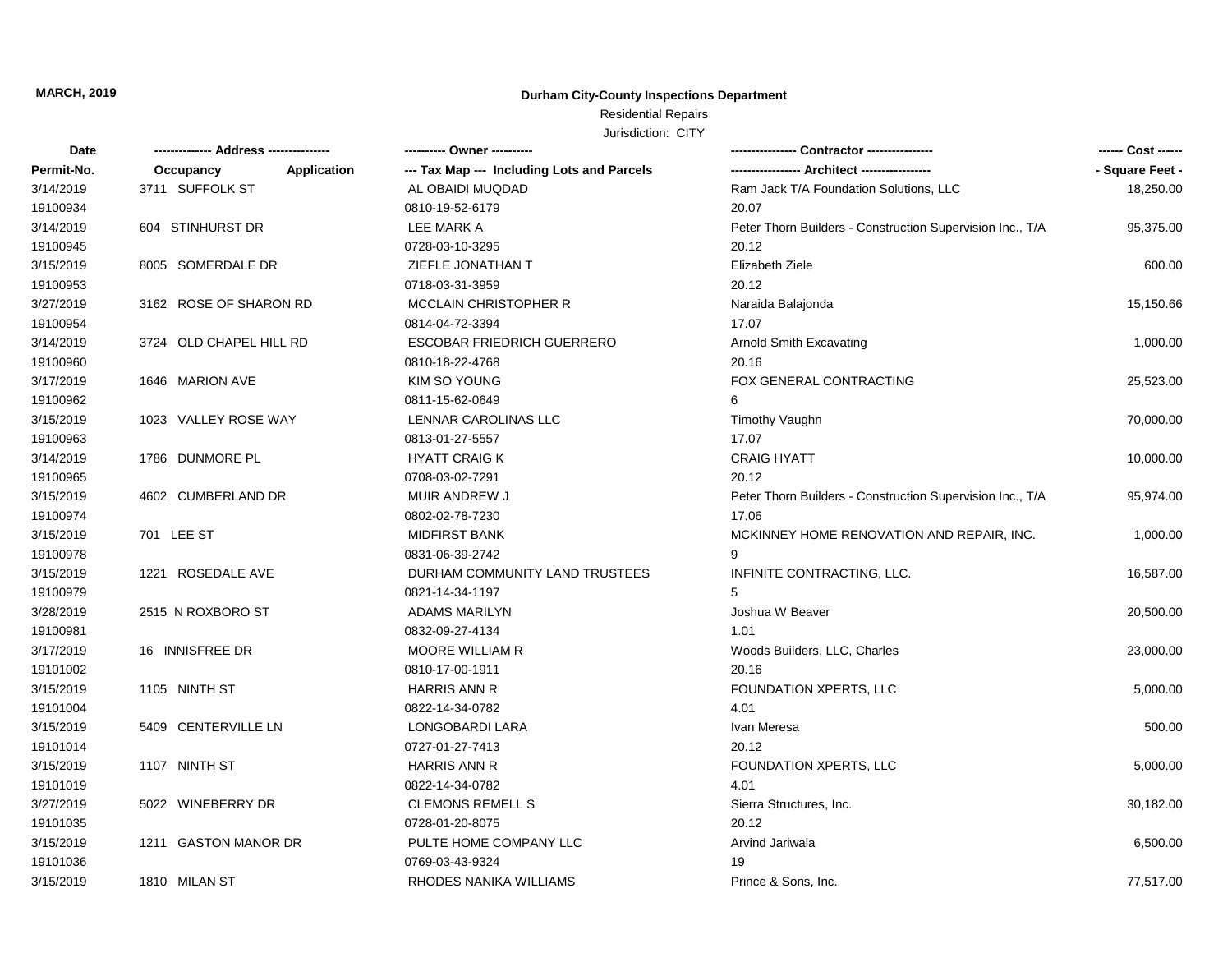## **Durham City-County Inspections Department**

# Residential Repairs

| Date       |                                 | ---------- Owner ----------                |                                                           |                 |
|------------|---------------------------------|--------------------------------------------|-----------------------------------------------------------|-----------------|
| Permit-No. | <b>Application</b><br>Occupancy | --- Tax Map --- Including Lots and Parcels |                                                           | - Square Feet - |
| 3/14/2019  | 3711 SUFFOLK ST                 | AL OBAIDI MUQDAD                           | Ram Jack T/A Foundation Solutions, LLC                    | 18,250.00       |
| 19100934   |                                 | 0810-19-52-6179                            | 20.07                                                     |                 |
| 3/14/2019  | 604 STINHURST DR                | LEE MARK A                                 | Peter Thorn Builders - Construction Supervision Inc., T/A | 95,375.00       |
| 19100945   |                                 | 0728-03-10-3295                            | 20.12                                                     |                 |
| 3/15/2019  | 8005 SOMERDALE DR               | ZIEFLE JONATHAN T                          | Elizabeth Ziele                                           | 600.00          |
| 19100953   |                                 | 0718-03-31-3959                            | 20.12                                                     |                 |
| 3/27/2019  | 3162 ROSE OF SHARON RD          | <b>MCCLAIN CHRISTOPHER R</b>               | Naraida Balajonda                                         | 15,150.66       |
| 19100954   |                                 | 0814-04-72-3394                            | 17.07                                                     |                 |
| 3/14/2019  | 3724 OLD CHAPEL HILL RD         | <b>ESCOBAR FRIEDRICH GUERRERO</b>          | Arnold Smith Excavating                                   | 1,000.00        |
| 19100960   |                                 | 0810-18-22-4768                            | 20.16                                                     |                 |
| 3/17/2019  | 1646 MARION AVE                 | KIM SO YOUNG                               | FOX GENERAL CONTRACTING                                   | 25,523.00       |
| 19100962   |                                 | 0811-15-62-0649                            | 6                                                         |                 |
| 3/15/2019  | 1023 VALLEY ROSE WAY            | LENNAR CAROLINAS LLC                       | <b>Timothy Vaughn</b>                                     | 70,000.00       |
| 19100963   |                                 | 0813-01-27-5557                            | 17.07                                                     |                 |
| 3/14/2019  | 1786 DUNMORE PL                 | <b>HYATT CRAIG K</b>                       | <b>CRAIG HYATT</b>                                        | 10,000.00       |
| 19100965   |                                 | 0708-03-02-7291                            | 20.12                                                     |                 |
| 3/15/2019  | 4602 CUMBERLAND DR              | MUIR ANDREW J                              | Peter Thorn Builders - Construction Supervision Inc., T/A | 95,974.00       |
| 19100974   |                                 | 0802-02-78-7230                            | 17.06                                                     |                 |
| 3/15/2019  | 701 LEE ST                      | <b>MIDFIRST BANK</b>                       | MCKINNEY HOME RENOVATION AND REPAIR, INC.                 | 1,000.00        |
| 19100978   |                                 | 0831-06-39-2742                            | 9                                                         |                 |
| 3/15/2019  | 1221 ROSEDALE AVE               | DURHAM COMMUNITY LAND TRUSTEES             | INFINITE CONTRACTING, LLC.                                | 16,587.00       |
| 19100979   |                                 | 0821-14-34-1197                            | 5                                                         |                 |
| 3/28/2019  | 2515 N ROXBORO ST               | <b>ADAMS MARILYN</b>                       | Joshua W Beaver                                           | 20,500.00       |
| 19100981   |                                 | 0832-09-27-4134                            | 1.01                                                      |                 |
| 3/17/2019  | 16 INNISFREE DR                 | <b>MOORE WILLIAM R</b>                     | Woods Builders, LLC, Charles                              | 23,000.00       |
| 19101002   |                                 | 0810-17-00-1911                            | 20.16                                                     |                 |
| 3/15/2019  | 1105 NINTH ST                   | <b>HARRIS ANN R</b>                        | FOUNDATION XPERTS, LLC                                    | 5,000.00        |
| 19101004   |                                 | 0822-14-34-0782                            | 4.01                                                      |                 |
| 3/15/2019  | 5409 CENTERVILLE LN             | <b>LONGOBARDI LARA</b>                     | Ivan Meresa                                               | 500.00          |
| 19101014   |                                 | 0727-01-27-7413                            | 20.12                                                     |                 |
| 3/15/2019  | 1107 NINTH ST                   | HARRIS ANN R                               | FOUNDATION XPERTS, LLC                                    | 5,000.00        |
| 19101019   |                                 | 0822-14-34-0782                            | 4.01                                                      |                 |
| 3/27/2019  | 5022 WINEBERRY DR               | <b>CLEMONS REMELL S</b>                    | Sierra Structures, Inc.                                   | 30,182.00       |
| 19101035   |                                 | 0728-01-20-8075                            | 20.12                                                     |                 |
| 3/15/2019  | 1211 GASTON MANOR DR            | PULTE HOME COMPANY LLC                     | Arvind Jariwala                                           | 6,500.00        |
| 19101036   |                                 | 0769-03-43-9324                            | 19                                                        |                 |
| 3/15/2019  | 1810 MILAN ST                   | RHODES NANIKA WILLIAMS                     | Prince & Sons, Inc.                                       | 77,517.00       |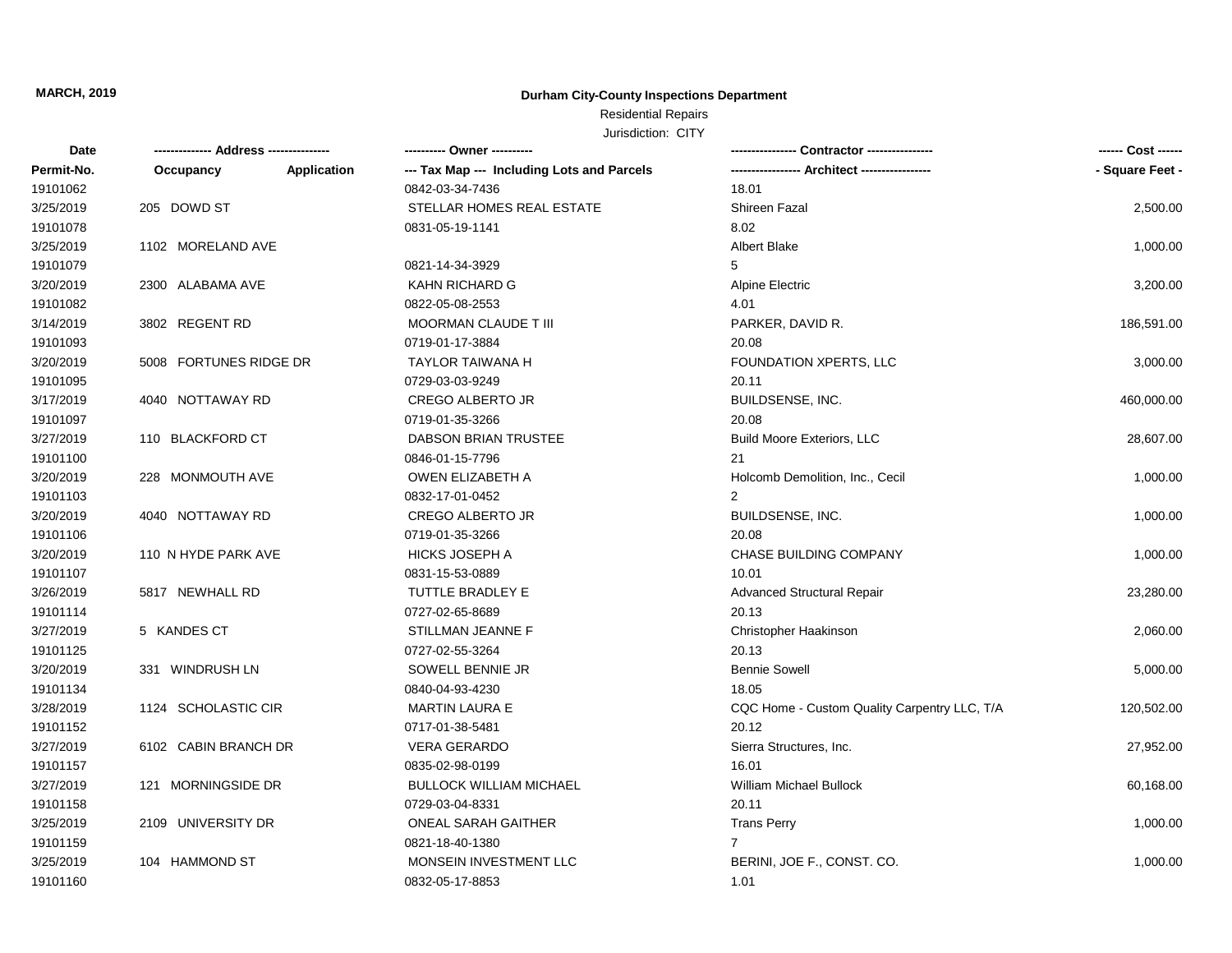## **Durham City-County Inspections Department**

## Residential Repairs

| Date       |                        |             | ---------- Owner ----------                |                                              |                 |
|------------|------------------------|-------------|--------------------------------------------|----------------------------------------------|-----------------|
| Permit-No. | Occupancy              | Application | --- Tax Map --- Including Lots and Parcels |                                              | - Square Feet - |
| 19101062   |                        |             | 0842-03-34-7436                            | 18.01                                        |                 |
| 3/25/2019  | 205 DOWD ST            |             | STELLAR HOMES REAL ESTATE                  | Shireen Fazal                                | 2,500.00        |
| 19101078   |                        |             | 0831-05-19-1141                            | 8.02                                         |                 |
| 3/25/2019  | 1102 MORELAND AVE      |             |                                            | <b>Albert Blake</b>                          | 1,000.00        |
| 19101079   |                        |             | 0821-14-34-3929                            | 5                                            |                 |
| 3/20/2019  | 2300 ALABAMA AVE       |             | KAHN RICHARD G                             | Alpine Electric                              | 3,200.00        |
| 19101082   |                        |             | 0822-05-08-2553                            | 4.01                                         |                 |
| 3/14/2019  | 3802 REGENT RD         |             | <b>MOORMAN CLAUDE T III</b>                | PARKER, DAVID R.                             | 186,591.00      |
| 19101093   |                        |             | 0719-01-17-3884                            | 20.08                                        |                 |
| 3/20/2019  | 5008 FORTUNES RIDGE DR |             | <b>TAYLOR TAIWANA H</b>                    | FOUNDATION XPERTS, LLC                       | 3,000.00        |
| 19101095   |                        |             | 0729-03-03-9249                            | 20.11                                        |                 |
| 3/17/2019  | 4040 NOTTAWAY RD       |             | <b>CREGO ALBERTO JR</b>                    | BUILDSENSE, INC.                             | 460,000.00      |
| 19101097   |                        |             | 0719-01-35-3266                            | 20.08                                        |                 |
| 3/27/2019  | 110 BLACKFORD CT       |             | DABSON BRIAN TRUSTEE                       | <b>Build Moore Exteriors, LLC</b>            | 28,607.00       |
| 19101100   |                        |             | 0846-01-15-7796                            | 21                                           |                 |
| 3/20/2019  | 228 MONMOUTH AVE       |             | OWEN ELIZABETH A                           | Holcomb Demolition, Inc., Cecil              | 1,000.00        |
| 19101103   |                        |             | 0832-17-01-0452                            | $\overline{2}$                               |                 |
| 3/20/2019  | 4040 NOTTAWAY RD       |             | <b>CREGO ALBERTO JR</b>                    | BUILDSENSE, INC.                             | 1,000.00        |
| 19101106   |                        |             | 0719-01-35-3266                            | 20.08                                        |                 |
| 3/20/2019  | 110 N HYDE PARK AVE    |             | <b>HICKS JOSEPH A</b>                      | <b>CHASE BUILDING COMPANY</b>                | 1,000.00        |
| 19101107   |                        |             | 0831-15-53-0889                            | 10.01                                        |                 |
| 3/26/2019  | 5817 NEWHALL RD        |             | TUTTLE BRADLEY E                           | <b>Advanced Structural Repair</b>            | 23,280.00       |
| 19101114   |                        |             | 0727-02-65-8689                            | 20.13                                        |                 |
| 3/27/2019  | 5 KANDES CT            |             | STILLMAN JEANNE F                          | Christopher Haakinson                        | 2,060.00        |
| 19101125   |                        |             | 0727-02-55-3264                            | 20.13                                        |                 |
| 3/20/2019  | 331 WINDRUSH LN        |             | SOWELL BENNIE JR                           | <b>Bennie Sowell</b>                         | 5,000.00        |
| 19101134   |                        |             | 0840-04-93-4230                            | 18.05                                        |                 |
| 3/28/2019  | 1124 SCHOLASTIC CIR    |             | <b>MARTIN LAURA E</b>                      | CQC Home - Custom Quality Carpentry LLC, T/A | 120,502.00      |
| 19101152   |                        |             | 0717-01-38-5481                            | 20.12                                        |                 |
| 3/27/2019  | 6102 CABIN BRANCH DR   |             | <b>VERA GERARDO</b>                        | Sierra Structures, Inc.                      | 27,952.00       |
| 19101157   |                        |             | 0835-02-98-0199                            | 16.01                                        |                 |
| 3/27/2019  | 121 MORNINGSIDE DR     |             | <b>BULLOCK WILLIAM MICHAEL</b>             | William Michael Bullock                      | 60,168.00       |
| 19101158   |                        |             | 0729-03-04-8331                            | 20.11                                        |                 |
| 3/25/2019  | 2109 UNIVERSITY DR     |             | ONEAL SARAH GAITHER                        | <b>Trans Perry</b>                           | 1,000.00        |
| 19101159   |                        |             | 0821-18-40-1380                            | $\overline{7}$                               |                 |
| 3/25/2019  | 104 HAMMOND ST         |             | MONSEIN INVESTMENT LLC                     | BERINI, JOE F., CONST. CO.                   | 1,000.00        |
| 19101160   |                        |             | 0832-05-17-8853                            | 1.01                                         |                 |